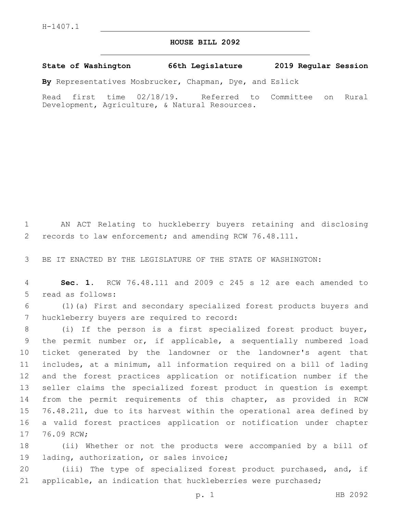## **HOUSE BILL 2092**

**State of Washington 66th Legislature 2019 Regular Session**

**By** Representatives Mosbrucker, Chapman, Dye, and Eslick

Read first time 02/18/19. Referred to Committee on Rural Development, Agriculture, & Natural Resources.

1 AN ACT Relating to huckleberry buyers retaining and disclosing 2 records to law enforcement; and amending RCW 76.48.111.

3 BE IT ENACTED BY THE LEGISLATURE OF THE STATE OF WASHINGTON:

4 **Sec. 1.** RCW 76.48.111 and 2009 c 245 s 12 are each amended to 5 read as follows:

6 (1)(a) First and secondary specialized forest products buyers and 7 huckleberry buyers are required to record:

 (i) If the person is a first specialized forest product buyer, the permit number or, if applicable, a sequentially numbered load ticket generated by the landowner or the landowner's agent that includes, at a minimum, all information required on a bill of lading and the forest practices application or notification number if the seller claims the specialized forest product in question is exempt from the permit requirements of this chapter, as provided in RCW 76.48.211, due to its harvest within the operational area defined by a valid forest practices application or notification under chapter 17 76.09 RCW;

18 (ii) Whether or not the products were accompanied by a bill of 19 lading, authorization, or sales invoice;

20 (iii) The type of specialized forest product purchased, and, if 21 applicable, an indication that huckleberries were purchased;